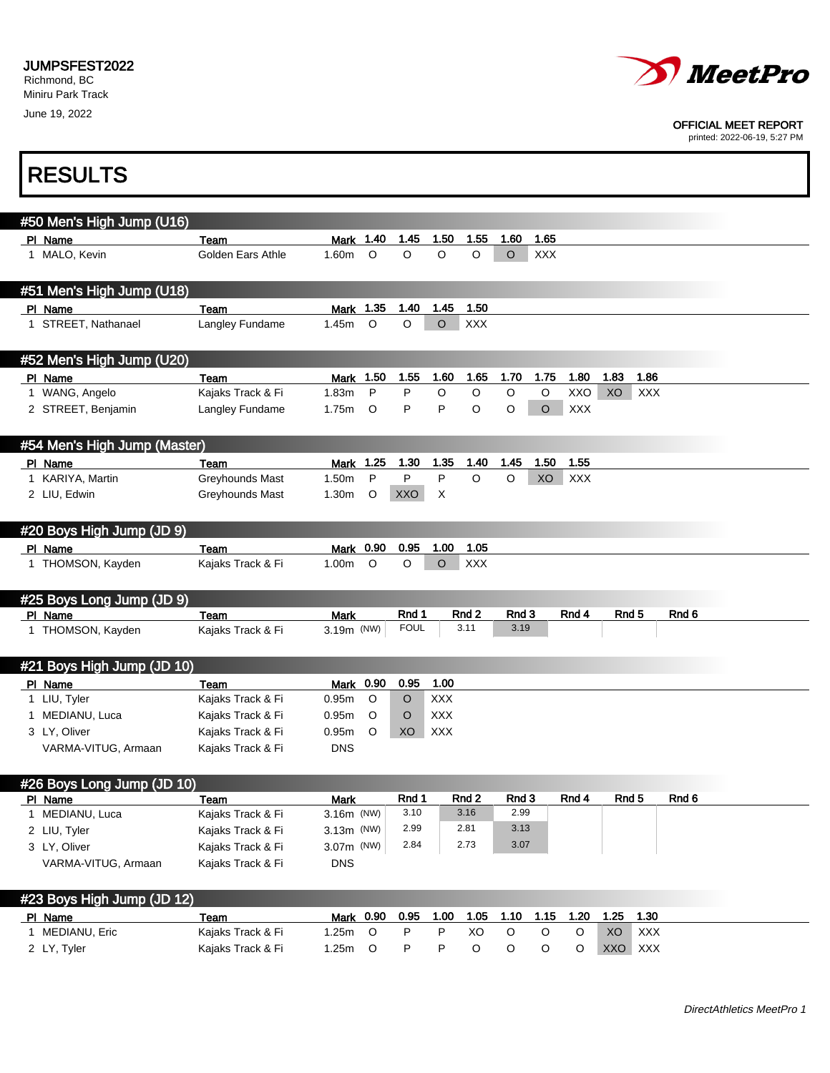June 19, 2022



### OFFICIAL MEET REPORT

printed: 2022-06-19, 5:27 PM

| <b>RESULTS</b>                        |                           |                    |         |             |            |                          |               |            |             |                  |            |       |
|---------------------------------------|---------------------------|--------------------|---------|-------------|------------|--------------------------|---------------|------------|-------------|------------------|------------|-------|
| #50 Men's High Jump (U16)             |                           |                    |         |             |            |                          |               |            |             |                  |            |       |
| PI Name                               | Team                      | Mark               | 1.40    | 1.45        | 1.50       | 1.55                     | 1.60          | 1.65       |             |                  |            |       |
| 1 MALO, Kevin                         | Golden Ears Athle         | 1.60m              | O       | $\circ$     | $\circ$    | O                        | $\circ$       | <b>XXX</b> |             |                  |            |       |
| #51 Men's High Jump (U18)             |                           |                    |         |             |            |                          |               |            |             |                  |            |       |
| PI Name                               | Team                      | Mark               | 1.35    | 1.40        | 1.45       | 1.50                     |               |            |             |                  |            |       |
| 1 STREET, Nathanael                   | Langley Fundame           | 1.45m              | $\circ$ | $\circ$     | $\circ$    | <b>XXX</b>               |               |            |             |                  |            |       |
| #52 Men's High Jump (U20)             |                           |                    |         |             |            |                          |               |            |             |                  |            |       |
| PI Name                               | Team                      | Mark               | 1.50    | 1.55        | 1.60       | 1.65                     | 1.70          | 1.75       | 1.80        | 1.83             | 1.86       |       |
| 1 WANG, Angelo                        | Kajaks Track & Fi         | 1.83m              | P       | P           | O          | O                        | $\mathsf O$   | $\circ$    | XXO         | XO               | <b>XXX</b> |       |
| 2 STREET, Benjamin                    | Langley Fundame           | 1.75m              | O       | P           | P          | O                        | $\circ$       | $\circ$    | <b>XXX</b>  |                  |            |       |
| #54 Men's High Jump (Master)          |                           |                    |         |             |            |                          |               |            |             |                  |            |       |
| PI Name                               | Team                      | Mark 1.25          |         | 1.30        | 1.35       | 1.40                     | 1.45          | 1.50       | 1.55        |                  |            |       |
| 1 KARIYA, Martin                      | Greyhounds Mast           | 1.50m              | P       | P           | P          | $\circ$                  | O             | XO         | <b>XXX</b>  |                  |            |       |
| 2 LIU, Edwin                          | Greyhounds Mast           | 1.30m              | O       | XXO         | X          |                          |               |            |             |                  |            |       |
| #20 Boys High Jump (JD 9)             |                           |                    |         |             |            |                          |               |            |             |                  |            |       |
| PI Name                               | Team                      | Mark               | 0.90    | 0.95        | 1.00       | 1.05                     |               |            |             |                  |            |       |
| 1 THOMSON, Kayden                     | Kajaks Track & Fi         | 1.00m              | $\circ$ | O           | $\circ$    | <b>XXX</b>               |               |            |             |                  |            |       |
| #25 Boys Long Jump (JD 9)             |                           |                    |         | Rnd 1       |            |                          |               |            |             |                  |            | Rnd 6 |
| PI Name<br>1 THOMSON, Kayden          | Team<br>Kajaks Track & Fi | Mark<br>3.19m (NW) |         | <b>FOUL</b> |            | Rnd <sub>2</sub><br>3.11 | Rnd 3<br>3.19 |            | Rnd 4       | Rnd <sub>5</sub> |            |       |
|                                       |                           |                    |         |             |            |                          |               |            |             |                  |            |       |
| #21 Boys High Jump (JD 10)            |                           |                    |         |             |            |                          |               |            |             |                  |            |       |
| PI Name                               | Team                      | Mark 0.90          |         | 0.95        | 1.00       |                          |               |            |             |                  |            |       |
| 1 LIU, Tyler                          | Kajaks Track & Fi         | 0.95m              | $\circ$ | O           | <b>XXX</b> |                          |               |            |             |                  |            |       |
| 1 MEDIANU, Luca                       | Kajaks Track & Fi         | 0.95m              | $\circ$ | O           | <b>XXX</b> |                          |               |            |             |                  |            |       |
| 3 LY, Oliver                          | Kajaks Track & Fi         | 0.95m              | O       | XO          | <b>XXX</b> |                          |               |            |             |                  |            |       |
| VARMA-VITUG, Armaan                   | Kajaks Track & Fi         | <b>DNS</b>         |         |             |            |                          |               |            |             |                  |            |       |
| #26 Boys Long Jump (JD 10)<br>PI Name | Team                      | <b>Mark</b>        |         | Rnd 1       |            | Rnd 2                    | Rnd 3         |            | Rnd 4       | Rnd <sub>5</sub> |            | Rnd 6 |
| 1 MEDIANU, Luca                       | Kajaks Track & Fi         | 3.16m (NW)         |         | 3.10        |            | 3.16                     | 2.99          |            |             |                  |            |       |
| 2 LIU, Tyler                          | Kajaks Track & Fi         | $3.13m$ (NW)       |         | 2.99        |            | 2.81                     | 3.13          |            |             |                  |            |       |
| 3 LY, Oliver                          | Kajaks Track & Fi         | 3.07m (NW)         |         | 2.84        |            | 2.73                     | 3.07          |            |             |                  |            |       |
| VARMA-VITUG, Armaan                   | Kajaks Track & Fi         | <b>DNS</b>         |         |             |            |                          |               |            |             |                  |            |       |
|                                       |                           |                    |         |             |            |                          |               |            |             |                  |            |       |
| #23 Boys High Jump (JD 12)<br>PI Name | Team                      | Mark 0.90          |         | 0.95        | 1.00       | 1.05                     | 1.10          | 1.15       | 1.20        | 1.25             | 1.30       |       |
| 1 MEDIANU, Eric                       | Kajaks Track & Fi         | 1.25m              | $\circ$ | P           | P          | XO                       | $\circ$       | $\circ$    | $\mathsf O$ | XO               | XXX        |       |
| 2 LY, Tyler                           | Kajaks Track & Fi         | 1.25m              | $\circ$ | P           | P          | $\mathsf O$              | $\circ$       | $\circ$    | $\circ$     | XXO              | XXX        |       |
|                                       |                           |                    |         |             |            |                          |               |            |             |                  |            |       |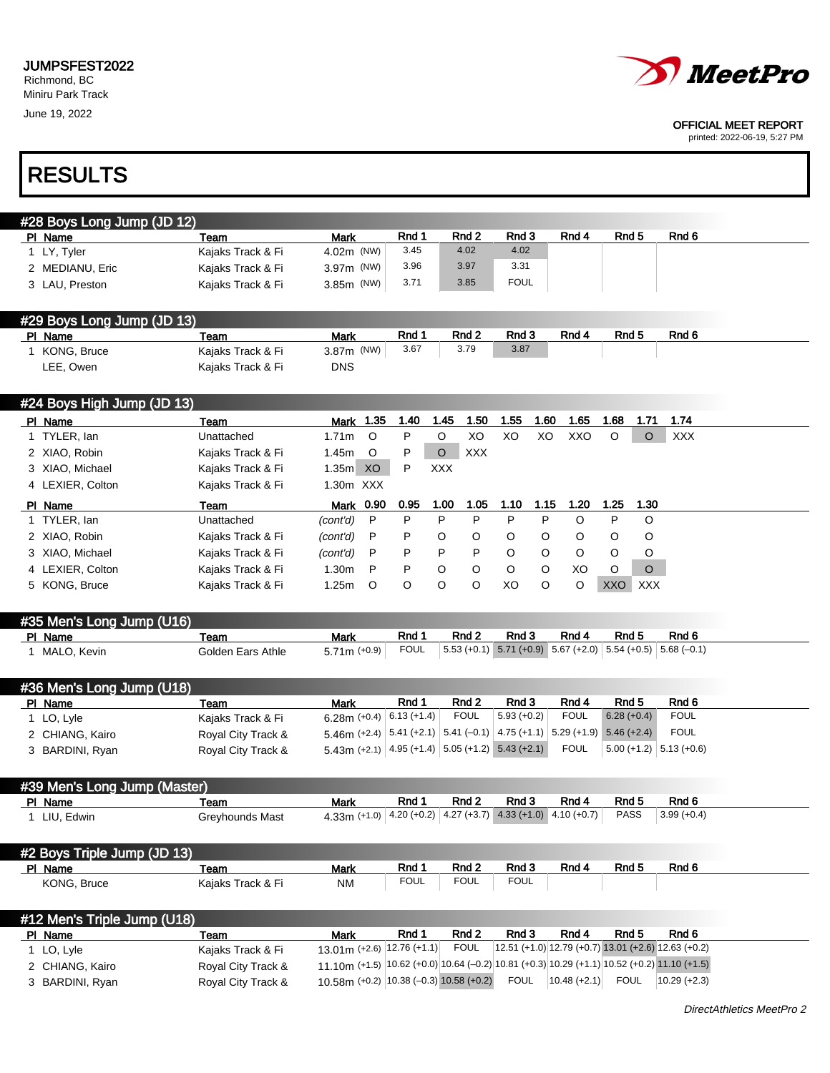June 19, 2022



### OFFICIAL MEET REPORT

printed: 2022-06-19, 5:27 PM

# RESULTS

| #28 Boys Long Jump (JD 12) |                   |              |       |                  |             |       |       |       |  |
|----------------------------|-------------------|--------------|-------|------------------|-------------|-------|-------|-------|--|
| PI Name                    | Team              | <b>Mark</b>  | Rnd 1 | Rnd <sub>2</sub> | Rnd 3       | Rnd 4 | Rnd 5 | Rnd 6 |  |
| I LY, Tyler                | Kajaks Track & Fi | $4.02m$ (NW) | 3.45  | 4.02             | 4.02        |       |       |       |  |
| 2 MEDIANU, Eric            | Kaiaks Track & Fi | $3.97m$ (NW) | 3.96  | 3.97             | 3.31        |       |       |       |  |
| 3 LAU, Preston             | Kaiaks Track & Fi | $3.85m$ (NW) | 3.71  | 3.85             | <b>FOUL</b> |       |       |       |  |

## #29 Boys Long Jump (JD 13)

1 Men's Trinle Jumps (U140)

| PI Name     | Team              | Mark          | Rnd 1 | Rnd 2 | Rnd 3 | Rnd 4 | Rnd 5 | Rnd 6 |
|-------------|-------------------|---------------|-------|-------|-------|-------|-------|-------|
| KONG, Bruce | Kajaks Track & Fi | 3.87 $m$ (NW) | 3.67  | 3.79  | 3.87  |       |       |       |
| LEE, Owen   | Kajaks Track & Fi | DNS           |       |       |       |       |       |       |

| #24 Boys High Jump (JD 13) |                   |                   |         |         |            |            |         |         |         |            |            |            |
|----------------------------|-------------------|-------------------|---------|---------|------------|------------|---------|---------|---------|------------|------------|------------|
| PI Name                    | Team              | Mark              | 1.35    | . 40،   | 1.45       | 1.50       | 1.55    | 1.60    | 1.65    | 1.68       | 1.71       | 1.74       |
| 1 TYLER, lan               | Unattached        | 1.71 <sub>m</sub> | $\circ$ | P       | O          | XO         | XO      | XO      | XXO     | $\circ$    | $\circ$    | <b>XXX</b> |
| 2 XIAO, Robin              | Kajaks Track & Fi | 1.45m             | $\circ$ | P       | $\circ$    | <b>XXX</b> |         |         |         |            |            |            |
| 3 XIAO, Michael            | Kajaks Track & Fi | 1.35 <sub>m</sub> | XO.     | P       | <b>XXX</b> |            |         |         |         |            |            |            |
| 4 LEXIER, Colton           | Kajaks Track & Fi | $1.30m$ XXX       |         |         |            |            |         |         |         |            |            |            |
| PI Name                    | Team              | Mark 0.90         |         | 0.95    | 1.00       |            |         |         | 1.20    |            |            |            |
|                            |                   |                   |         |         |            | 1.05       | 1.10    | 1.15    |         | 1.25       | 1.30       |            |
| 1 TYLER, lan               | Unattached        | (cont'd)          | P       | P       | P          | P          | P       | P       | O       | P          | $\circ$    |            |
| 2 XIAO, Robin              | Kajaks Track & Fi | (cont'd)          | P       | P       | O          | $\circ$    | $\circ$ | $\circ$ | $\circ$ | $\circ$    | $\circ$    |            |
| 3 XIAO, Michael            | Kajaks Track & Fi | (cont'd)          | P       | P       | P          | P          | $\circ$ | $\circ$ | $\circ$ | $\circ$    | $\circ$    |            |
| 4 LEXIER, Colton           | Kajaks Track & Fi | 1.30 <sub>m</sub> | P       | P.      | O          | $\circ$    | $\circ$ | $\circ$ | XO      | $\circ$    | $\circ$    |            |
| 5 KONG, Bruce              | Kajaks Track & Fi | 1.25m             | $\circ$ | $\circ$ | $\circ$    | O          | XO      | $\circ$ | O       | <b>XXO</b> | <b>XXX</b> |            |

| #35 Men's Long Jump (U16) |                   |                |       |                                                                                                |       |       |       |       |
|---------------------------|-------------------|----------------|-------|------------------------------------------------------------------------------------------------|-------|-------|-------|-------|
| PI Name                   | Team              | Mark           | Rnd 1 | Rnd 2                                                                                          | Rnd 3 | Rnd 4 | Rnd 5 | Rnd 6 |
| 1 MALO, Kevin             | Golden Ears Athle | 5.71m $(+0.9)$ | FOUL  | $\vert 5.53 \, (+0.1) \, 5.71 \, (+0.9) \, 5.67 \, (+2.0) \, 5.54 \, (+0.5) \, 5.68 \, (-0.1)$ |       |       |       |       |

| #36 Men's Long Jump (U18) |                    |                                                                                                                |       |             |              |             |                                                   |             |
|---------------------------|--------------------|----------------------------------------------------------------------------------------------------------------|-------|-------------|--------------|-------------|---------------------------------------------------|-------------|
| PI Name                   | Team               | <b>Mark</b>                                                                                                    | Rnd 1 | Rnd 2       | Rnd 3        | Rnd 4       | Rnd 5                                             | Rnd 6       |
| 1 LO, Lyle                | Kajaks Track & Fi  | 6.28m (+0.4) $\mid$ 6.13 (+1.4) $\mid$                                                                         |       | <b>FOUL</b> | $5.93(+0.2)$ | <b>FOUL</b> | $6.28(+0.4)$                                      | <b>FOUL</b> |
| 2 CHIANG, Kairo           | Royal City Track & | $5.46$ m (+2.4) $\mid$ 5.41 (+2.1) $\mid$ 5.41 (-0.1) $\mid$ 4.75 (+1.1) $\mid$ 5.29 (+1.9) $\mid$ 5.46 (+2.4) |       |             |              |             |                                                   | <b>FOUL</b> |
| 3 BARDINI, Ryan           | Royal City Track & | $5.43\text{m}$ (+2.1) $\vert$ 4.95 (+1.4) $\vert$ 5.05 (+1.2) 5.43 (+2.1)                                      |       |             |              | <b>FOUL</b> | $\vert 5.00 \, (+1.2) \vert 5.13 \, (+0.6) \vert$ |             |

| #39 Men's Long Jump (Master) |                 |                                                                                                               |       |       |       |       |       |                          |
|------------------------------|-----------------|---------------------------------------------------------------------------------------------------------------|-------|-------|-------|-------|-------|--------------------------|
| PI Name                      | Team            | Mark                                                                                                          | Rnd 1 | Rnd 2 | Rnd 3 | Rnd 4 | Rnd 5 | Rnd 6                    |
| LIU. Edwin                   | Greyhounds Mast | $4.33\text{m}$ (+1.0) $\big $ 4.20 (+0.2) $\big $ 4.27 (+3.7) $\big $ 4.33 (+1.0) $\big $ 4.10 (+0.7) $\big $ |       |       |       |       | PASS  | $\vert 3.99(+0.4) \vert$ |

| #2 Boys Triple Jump (JD 13) |                   |           |             |             |            |       |       |       |
|-----------------------------|-------------------|-----------|-------------|-------------|------------|-------|-------|-------|
| PI Name                     | Team              | Mark      | Rnd 1       | Rnd 2       | Rnd 3      | Rnd 4 | Rnd 5 | Rnd 6 |
| <b>KONG. Bruce</b>          | Kaiaks Track & Fi | <b>NM</b> | <b>FOUL</b> | <b>FOUL</b> | ורם<br>UUL |       |       |       |

| # IZ MENS THDIE JUHD (UTO). |                    |                                                                                                               |       |             |             |                 |       |                                                       |
|-----------------------------|--------------------|---------------------------------------------------------------------------------------------------------------|-------|-------------|-------------|-----------------|-------|-------------------------------------------------------|
| PI Name                     | Team               | Mark                                                                                                          | Rnd 1 | Rnd 2       | Rnd 3       | Rnd 4           | Rnd 5 | Rnd 6                                                 |
| 1 LO, Lyle                  | Kajaks Track & Fi  | 13.01m (+2.6) 12.76 (+1.1)                                                                                    |       | <b>FOUL</b> |             |                 |       | $12.51$ (+1.0) 12.79 (+0.7) 13.01 (+2.6) 12.63 (+0.2) |
| 2 CHIANG, Kairo             | Royal City Track & | 11.10m (+1.5) $ 10.62 + 0.0 $ $ 10.64 - 0.2 $ $ 10.81 + 0.3 $ $ 10.29 + 1.1 $ $ 10.52 + 0.2 $ $ 11.10 + 1.5 $ |       |             |             |                 |       |                                                       |
| 3 BARDINI, Ryan             | Royal City Track & | 10.58m (+0.2) 10.38 (-0.3) 10.58 (+0.2)                                                                       |       |             | <b>FOUL</b> | $ 10.48(+2.1) $ | FOUL  | $10.29 (+2.3)$                                        |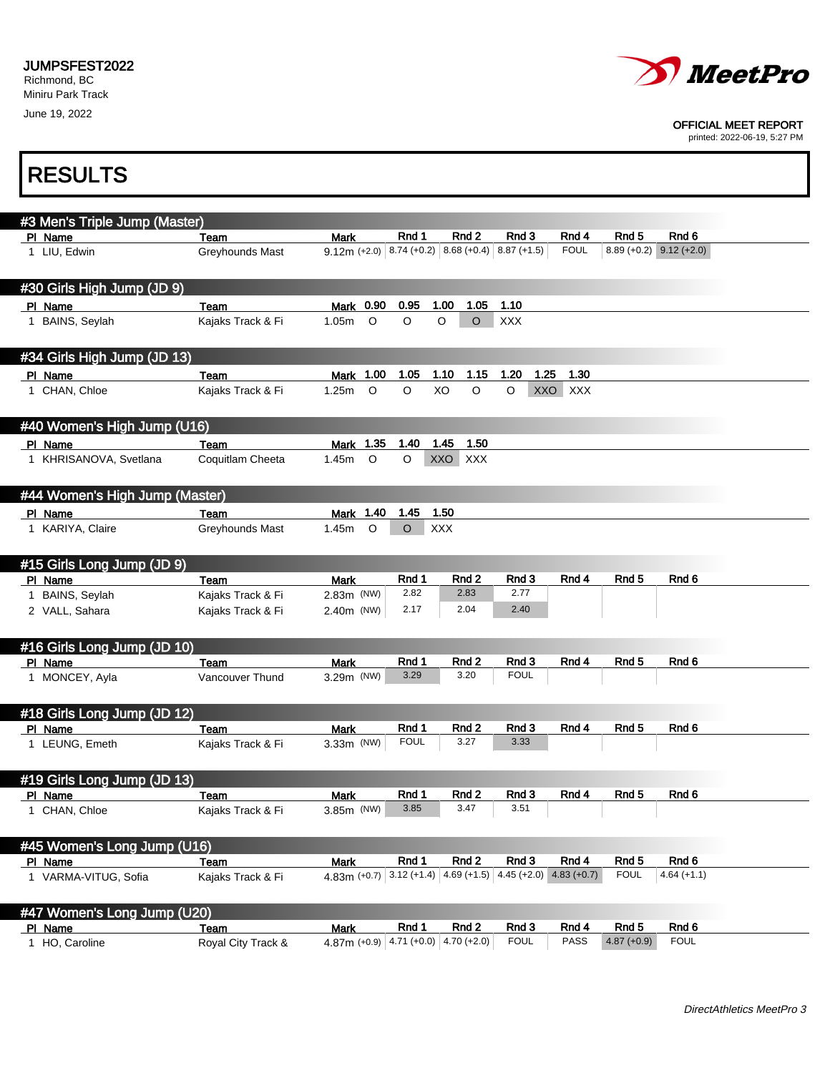

#### OFFICIAL MEET REPORT

printed: 2022-06-19, 5:27 PM

# RESULTS

| #3 Men's Triple Jump (Master)          |                                  |                                                                 |               |                    |                |               |                  |                           |
|----------------------------------------|----------------------------------|-----------------------------------------------------------------|---------------|--------------------|----------------|---------------|------------------|---------------------------|
| PI Name                                | Team                             | Mark                                                            | Rnd 1         | Rnd <sub>2</sub>   | Rnd 3          | Rnd 4         | Rnd 5            | Rnd 6                     |
| 1 LIU, Edwin                           | Greyhounds Mast                  | $9.12$ m (+2.0) 8.74 (+0.2) 8.68 (+0.4) 8.87 (+1.5)             |               |                    |                | <b>FOUL</b>   |                  | $8.89 (+0.2)$ 9.12 (+2.0) |
|                                        |                                  |                                                                 |               |                    |                |               |                  |                           |
| #30 Girls High Jump (JD 9)             |                                  |                                                                 |               |                    |                |               |                  |                           |
| PI Name                                | Team                             | 0.90<br>Mark                                                    | 0.95          | 1.00<br>1.05       | 1.10           |               |                  |                           |
| 1 BAINS, Seylah                        | Kajaks Track & Fi                | $\circ$<br>1.05m                                                | O             | $\circ$<br>$\circ$ | XXX            |               |                  |                           |
|                                        |                                  |                                                                 |               |                    |                |               |                  |                           |
| #34 Girls High Jump (JD 13)            |                                  |                                                                 |               |                    |                |               |                  |                           |
| PI Name                                | Team                             | Mark 1.00                                                       | 1.05          | 1.10<br>1.15       | 1.20<br>1.25   | 1.30          |                  |                           |
| 1 CHAN, Chloe                          | Kajaks Track & Fi                | $\circ$<br>1.25m                                                | $\circ$       | XO<br>$\circ$      | $\circ$<br>XXO | <b>XXX</b>    |                  |                           |
|                                        |                                  |                                                                 |               |                    |                |               |                  |                           |
| #40 Women's High Jump (U16)            |                                  |                                                                 |               |                    |                |               |                  |                           |
| PI Name                                | Team                             | Mark 1.35                                                       | 1.40          | 1.50<br>1.45       |                |               |                  |                           |
| 1 KHRISANOVA, Svetlana                 | Coquitlam Cheeta                 | $\circ$<br>1.45m                                                | O             | XXO XXX            |                |               |                  |                           |
|                                        |                                  |                                                                 |               |                    |                |               |                  |                           |
| #44 Women's High Jump (Master)         |                                  |                                                                 |               |                    |                |               |                  |                           |
| PI_Name                                | Team                             | Mark 1.40                                                       | 1.45          | 1.50               |                |               |                  |                           |
| 1 KARIYA, Claire                       | Greyhounds Mast                  | $\circ$<br>1.45m                                                | O             | <b>XXX</b>         |                |               |                  |                           |
|                                        |                                  |                                                                 |               |                    |                |               |                  |                           |
| #15 Girls Long Jump (JD 9)             |                                  |                                                                 |               |                    |                |               |                  |                           |
| PI Name                                | Team                             | Mark                                                            | Rnd 1         | Rnd 2              | Rnd 3          | Rnd 4         | Rnd 5            | Rnd <sub>6</sub>          |
| 1 BAINS, Seylah                        | Kajaks Track & Fi                | $2.83m$ (NW)                                                    | 2.82          | 2.83               | 2.77           |               |                  |                           |
| 2 VALL, Sahara                         | Kajaks Track & Fi                | $2.40m$ (NW)                                                    | 2.17          | 2.04               | 2.40           |               |                  |                           |
|                                        |                                  |                                                                 |               |                    |                |               |                  |                           |
| #16 Girls Long Jump (JD 10)            |                                  |                                                                 |               |                    |                |               |                  |                           |
| PI Name                                | Team                             | <b>Mark</b>                                                     | Rnd 1         | Rnd 2              | Rnd 3          | Rnd 4         | Rnd <sub>5</sub> | Rnd 6                     |
| 1 MONCEY, Ayla                         | Vancouver Thund                  | 3.29m (NW)                                                      | 3.29          | 3.20               | <b>FOUL</b>    |               |                  |                           |
|                                        |                                  |                                                                 |               |                    |                |               |                  |                           |
| #18 Girls Long Jump (JD 12)            |                                  |                                                                 |               |                    |                |               |                  |                           |
| PI Name                                | Team                             | <b>Mark</b>                                                     | Rnd 1         | Rnd 2              | Rnd 3          | Rnd 4         | Rnd 5            | Rnd 6                     |
| 1 LEUNG, Emeth                         | Kajaks Track & Fi                | 3.33m (NW)                                                      | <b>FOUL</b>   | 3.27               | 3.33           |               |                  |                           |
|                                        |                                  |                                                                 |               |                    |                |               |                  |                           |
| #19 Girls Long Jump (JD 13)            |                                  |                                                                 |               |                    |                |               |                  |                           |
| PI Name                                | Team                             | <b>Mark</b>                                                     | Rnd 1<br>3.85 | Rnd 2<br>3.47      | Rnd 3<br>3.51  | Rnd 4         | Rnd 5            | Rnd 6                     |
| 1 CHAN, Chloe                          | Kajaks Track & Fi                | 3.85m (NW)                                                      |               |                    |                |               |                  |                           |
|                                        |                                  |                                                                 |               |                    |                |               |                  |                           |
| #45 Women's Long Jump (U16)            |                                  |                                                                 | Rnd 1         | Rnd 2              | Rnd 3          | Rnd 4         | Rnd 5            | Rnd 6                     |
| PI Name<br>1 VARMA-VITUG, Sofia        | <b>Team</b><br>Kajaks Track & Fi | <b>Mark</b><br>4.83m (+0.7) 3.12 (+1.4) 4.69 (+1.5) 4.45 (+2.0) |               |                    |                | $4.83 (+0.7)$ | <b>FOUL</b>      | $4.64 (+1.1)$             |
|                                        |                                  |                                                                 |               |                    |                |               |                  |                           |
|                                        |                                  |                                                                 |               |                    |                |               |                  |                           |
| #47 Women's Long Jump (U20)<br>PI Name | Team                             |                                                                 | Rnd 1         | Rnd 2              | Rnd 3          | Rnd 4         | Rnd 5            | Rnd 6                     |
| 1 HO, Caroline                         | Royal City Track &               | <b>Mark</b><br>4.87m (+0.9) 4.71 (+0.0) 4.70 (+2.0)             |               |                    | <b>FOUL</b>    | PASS          | $4.87 (+0.9)$    | <b>FOUL</b>               |
|                                        |                                  |                                                                 |               |                    |                |               |                  |                           |